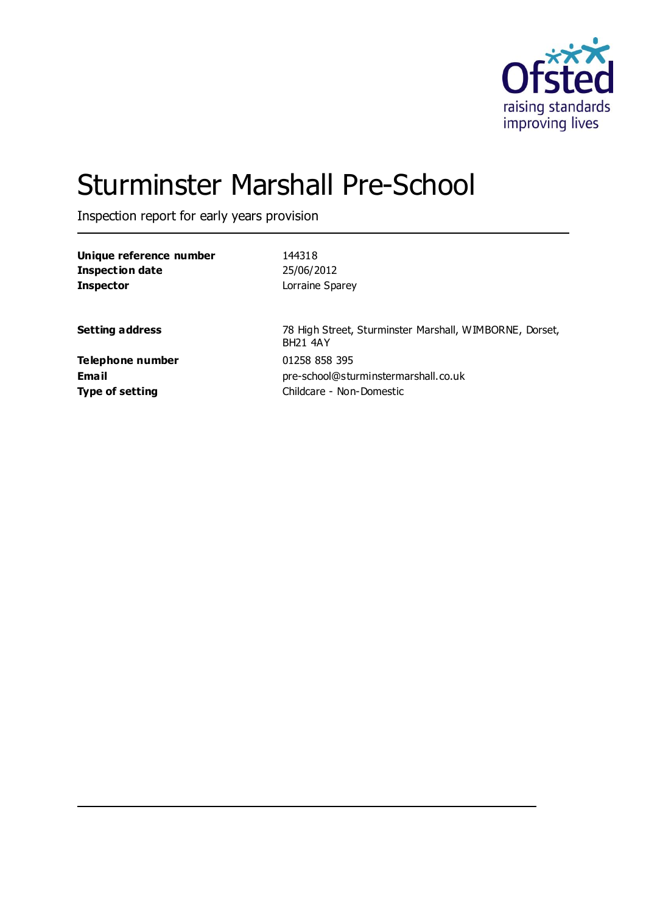

# Sturminster Marshall Pre-School

Inspection report for early years provision

| Unique reference number | 144318                                                                     |
|-------------------------|----------------------------------------------------------------------------|
| <b>Inspection date</b>  | 25/06/2012                                                                 |
| <b>Inspector</b>        | Lorraine Sparey                                                            |
|                         |                                                                            |
| <b>Setting address</b>  | 78 High Street, Sturminster Marshall, WIMBORNE, Dorset,<br><b>BH21 4AY</b> |
| <b>Telephone number</b> | 01258 858 395                                                              |
| Email                   | pre-school@sturminstermarshall.co.uk                                       |
| <b>Type of setting</b>  | Childcare - Non-Domestic                                                   |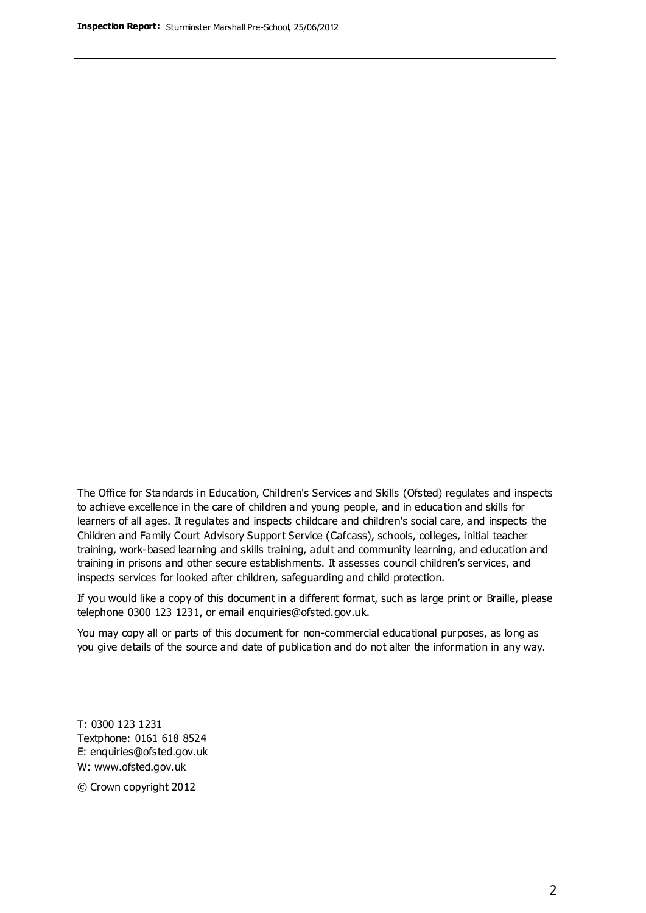The Office for Standards in Education, Children's Services and Skills (Ofsted) regulates and inspects to achieve excellence in the care of children and young people, and in education and skills for learners of all ages. It regulates and inspects childcare and children's social care, and inspects the Children and Family Court Advisory Support Service (Cafcass), schools, colleges, initial teacher training, work-based learning and skills training, adult and community learning, and education and training in prisons and other secure establishments. It assesses council children's services, and inspects services for looked after children, safeguarding and child protection.

If you would like a copy of this document in a different format, such as large print or Braille, please telephone 0300 123 1231, or email enquiries@ofsted.gov.uk.

You may copy all or parts of this document for non-commercial educational purposes, as long as you give details of the source and date of publication and do not alter the information in any way.

T: 0300 123 1231 Textphone: 0161 618 8524 E: enquiries@ofsted.gov.uk W: [www.ofsted.gov.uk](http://www.ofsted.gov.uk/)

© Crown copyright 2012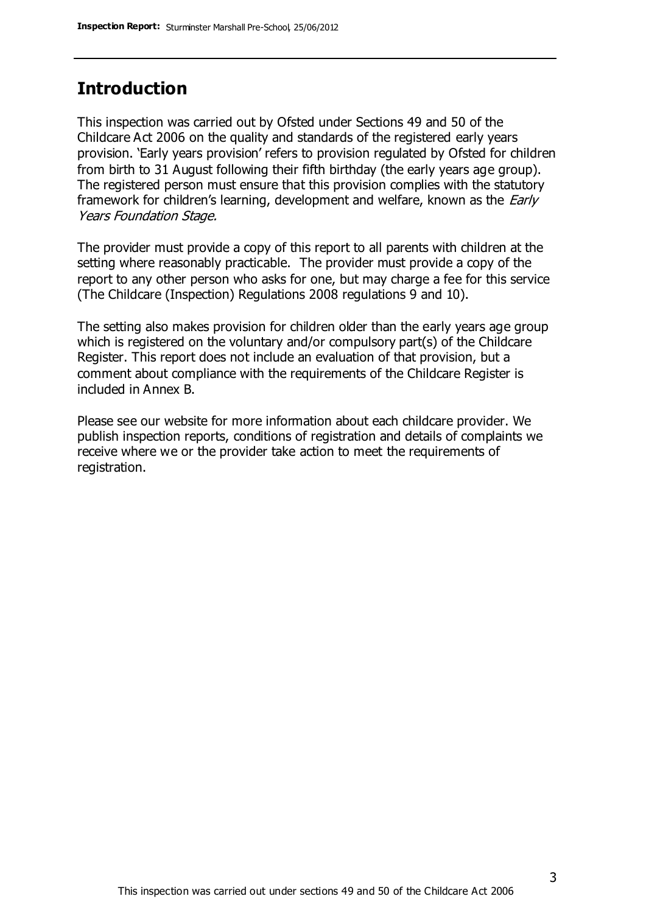#### **Introduction**

This inspection was carried out by Ofsted under Sections 49 and 50 of the Childcare Act 2006 on the quality and standards of the registered early years provision. 'Early years provision' refers to provision regulated by Ofsted for children from birth to 31 August following their fifth birthday (the early years age group). The registered person must ensure that this provision complies with the statutory framework for children's learning, development and welfare, known as the *Early* Years Foundation Stage.

The provider must provide a copy of this report to all parents with children at the setting where reasonably practicable. The provider must provide a copy of the report to any other person who asks for one, but may charge a fee for this service (The Childcare (Inspection) Regulations 2008 regulations 9 and 10).

The setting also makes provision for children older than the early years age group which is registered on the voluntary and/or compulsory part(s) of the Childcare Register. This report does not include an evaluation of that provision, but a comment about compliance with the requirements of the Childcare Register is included in Annex B.

Please see our website for more information about each childcare provider. We publish inspection reports, conditions of registration and details of complaints we receive where we or the provider take action to meet the requirements of registration.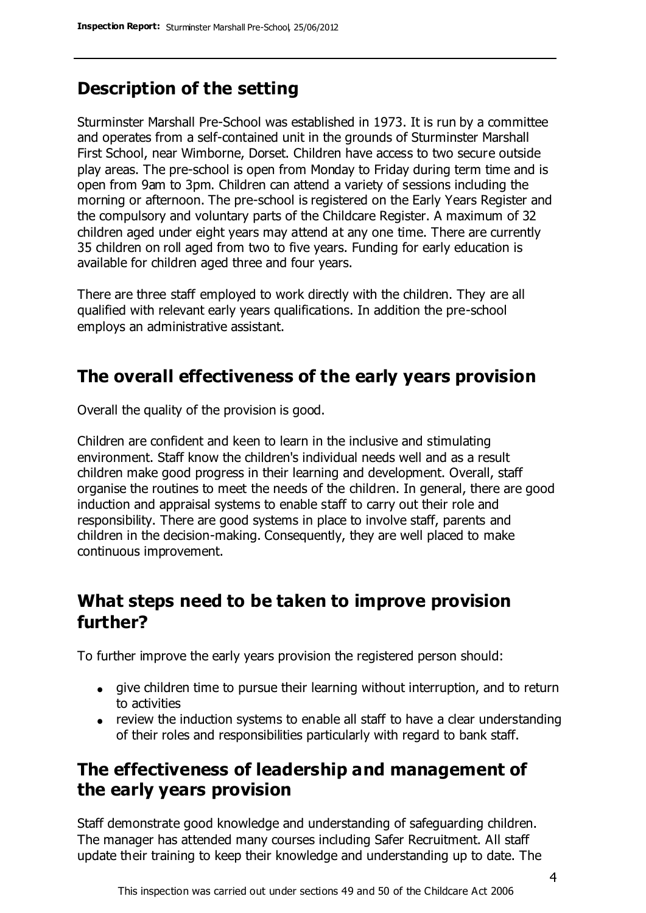### **Description of the setting**

Sturminster Marshall Pre-School was established in 1973. It is run by a committee and operates from a self-contained unit in the grounds of Sturminster Marshall First School, near Wimborne, Dorset. Children have access to two secure outside play areas. The pre-school is open from Monday to Friday during term time and is open from 9am to 3pm. Children can attend a variety of sessions including the morning or afternoon. The pre-school is registered on the Early Years Register and the compulsory and voluntary parts of the Childcare Register. A maximum of 32 children aged under eight years may attend at any one time. There are currently 35 children on roll aged from two to five years. Funding for early education is available for children aged three and four years.

There are three staff employed to work directly with the children. They are all qualified with relevant early years qualifications. In addition the pre-school employs an administrative assistant.

### **The overall effectiveness of the early years provision**

Overall the quality of the provision is good.

Children are confident and keen to learn in the inclusive and stimulating environment. Staff know the children's individual needs well and as a result children make good progress in their learning and development. Overall, staff organise the routines to meet the needs of the children. In general, there are good induction and appraisal systems to enable staff to carry out their role and responsibility. There are good systems in place to involve staff, parents and children in the decision-making. Consequently, they are well placed to make continuous improvement.

#### **What steps need to be taken to improve provision further?**

To further improve the early years provision the registered person should:

- give children time to pursue their learning without interruption, and to return to activities
- review the induction systems to enable all staff to have a clear understanding of their roles and responsibilities particularly with regard to bank staff.

### **The effectiveness of leadership and management of the early years provision**

Staff demonstrate good knowledge and understanding of safeguarding children. The manager has attended many courses including Safer Recruitment. All staff update their training to keep their knowledge and understanding up to date. The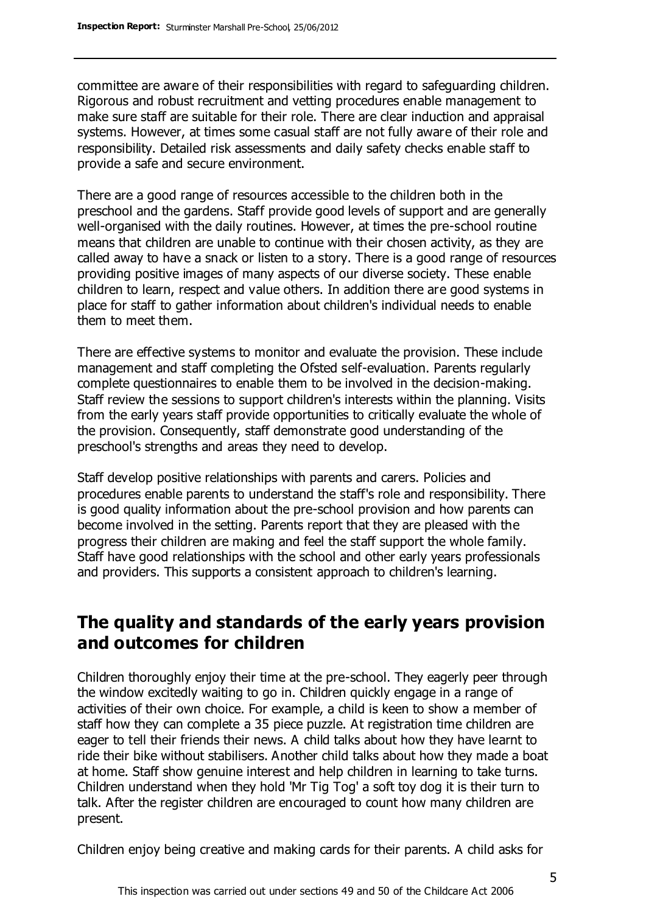committee are aware of their responsibilities with regard to safeguarding children. Rigorous and robust recruitment and vetting procedures enable management to make sure staff are suitable for their role. There are clear induction and appraisal systems. However, at times some casual staff are not fully aware of their role and responsibility. Detailed risk assessments and daily safety checks enable staff to provide a safe and secure environment.

There are a good range of resources accessible to the children both in the preschool and the gardens. Staff provide good levels of support and are generally well-organised with the daily routines. However, at times the pre-school routine means that children are unable to continue with their chosen activity, as they are called away to have a snack or listen to a story. There is a good range of resources providing positive images of many aspects of our diverse society. These enable children to learn, respect and value others. In addition there are good systems in place for staff to gather information about children's individual needs to enable them to meet them.

There are effective systems to monitor and evaluate the provision. These include management and staff completing the Ofsted self-evaluation. Parents regularly complete questionnaires to enable them to be involved in the decision-making. Staff review the sessions to support children's interests within the planning. Visits from the early years staff provide opportunities to critically evaluate the whole of the provision. Consequently, staff demonstrate good understanding of the preschool's strengths and areas they need to develop.

Staff develop positive relationships with parents and carers. Policies and procedures enable parents to understand the staff's role and responsibility. There is good quality information about the pre-school provision and how parents can become involved in the setting. Parents report that they are pleased with the progress their children are making and feel the staff support the whole family. Staff have good relationships with the school and other early years professionals and providers. This supports a consistent approach to children's learning.

### **The quality and standards of the early years provision and outcomes for children**

Children thoroughly enjoy their time at the pre-school. They eagerly peer through the window excitedly waiting to go in. Children quickly engage in a range of activities of their own choice. For example, a child is keen to show a member of staff how they can complete a 35 piece puzzle. At registration time children are eager to tell their friends their news. A child talks about how they have learnt to ride their bike without stabilisers. Another child talks about how they made a boat at home. Staff show genuine interest and help children in learning to take turns. Children understand when they hold 'Mr Tig Tog' a soft toy dog it is their turn to talk. After the register children are encouraged to count how many children are present.

Children enjoy being creative and making cards for their parents. A child asks for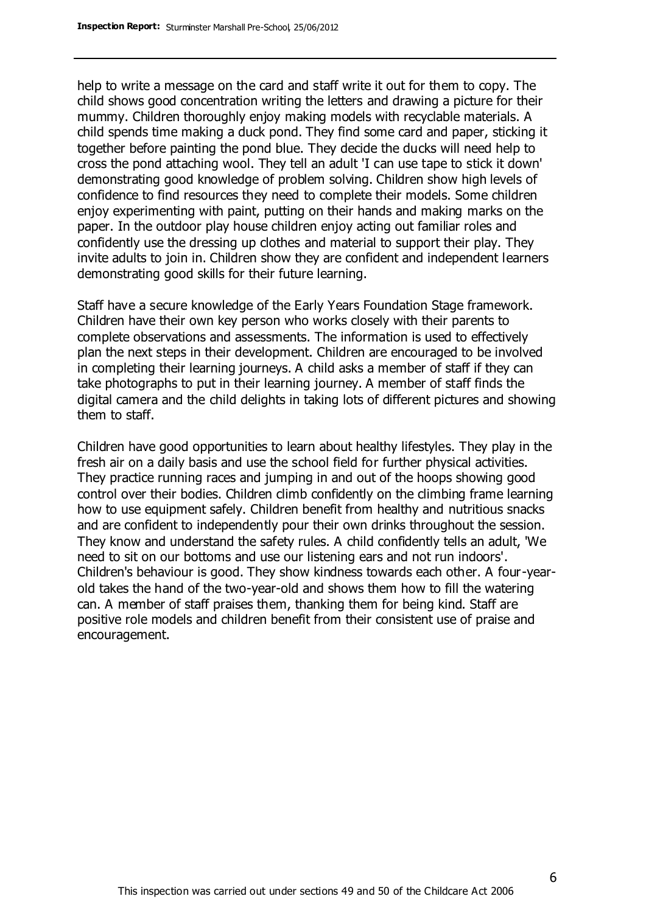help to write a message on the card and staff write it out for them to copy. The child shows good concentration writing the letters and drawing a picture for their mummy. Children thoroughly enjoy making models with recyclable materials. A child spends time making a duck pond. They find some card and paper, sticking it together before painting the pond blue. They decide the ducks will need help to cross the pond attaching wool. They tell an adult 'I can use tape to stick it down' demonstrating good knowledge of problem solving. Children show high levels of confidence to find resources they need to complete their models. Some children enjoy experimenting with paint, putting on their hands and making marks on the paper. In the outdoor play house children enjoy acting out familiar roles and confidently use the dressing up clothes and material to support their play. They invite adults to join in. Children show they are confident and independent learners demonstrating good skills for their future learning.

Staff have a secure knowledge of the Early Years Foundation Stage framework. Children have their own key person who works closely with their parents to complete observations and assessments. The information is used to effectively plan the next steps in their development. Children are encouraged to be involved in completing their learning journeys. A child asks a member of staff if they can take photographs to put in their learning journey. A member of staff finds the digital camera and the child delights in taking lots of different pictures and showing them to staff.

Children have good opportunities to learn about healthy lifestyles. They play in the fresh air on a daily basis and use the school field for further physical activities. They practice running races and jumping in and out of the hoops showing good control over their bodies. Children climb confidently on the climbing frame learning how to use equipment safely. Children benefit from healthy and nutritious snacks and are confident to independently pour their own drinks throughout the session. They know and understand the safety rules. A child confidently tells an adult, 'We need to sit on our bottoms and use our listening ears and not run indoors'. Children's behaviour is good. They show kindness towards each other. A four-yearold takes the hand of the two-year-old and shows them how to fill the watering can. A member of staff praises them, thanking them for being kind. Staff are positive role models and children benefit from their consistent use of praise and encouragement.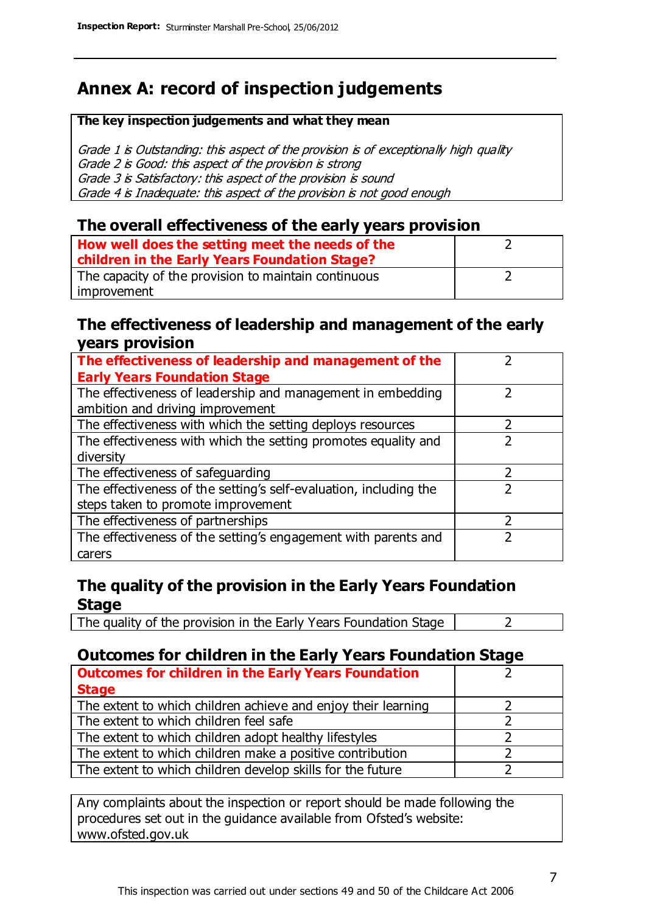### **Annex A: record of inspection judgements**

#### **The key inspection judgements and what they mean**

Grade 1 is Outstanding: this aspect of the provision is of exceptionally high quality Grade 2 is Good: this aspect of the provision is strong Grade 3 is Satisfactory: this aspect of the provision is sound Grade 4 is Inadequate: this aspect of the provision is not good enough

#### **The overall effectiveness of the early years provision**

| How well does the setting meet the needs of the<br>children in the Early Years Foundation Stage? |  |
|--------------------------------------------------------------------------------------------------|--|
| The capacity of the provision to maintain continuous                                             |  |
| improvement                                                                                      |  |

#### **The effectiveness of leadership and management of the early years provision**

| The effectiveness of leadership and management of the             |  |
|-------------------------------------------------------------------|--|
| <b>Early Years Foundation Stage</b>                               |  |
| The effectiveness of leadership and management in embedding       |  |
| ambition and driving improvement                                  |  |
| The effectiveness with which the setting deploys resources        |  |
| The effectiveness with which the setting promotes equality and    |  |
| diversity                                                         |  |
| The effectiveness of safeguarding                                 |  |
| The effectiveness of the setting's self-evaluation, including the |  |
| steps taken to promote improvement                                |  |
| The effectiveness of partnerships                                 |  |
| The effectiveness of the setting's engagement with parents and    |  |
| carers                                                            |  |

#### **The quality of the provision in the Early Years Foundation Stage**

The quality of the provision in the Early Years Foundation Stage  $\vert$  2

#### **Outcomes for children in the Early Years Foundation Stage**

| <b>Outcomes for children in the Early Years Foundation</b>    |  |
|---------------------------------------------------------------|--|
| <b>Stage</b>                                                  |  |
| The extent to which children achieve and enjoy their learning |  |
| The extent to which children feel safe                        |  |
| The extent to which children adopt healthy lifestyles         |  |
| The extent to which children make a positive contribution     |  |
| The extent to which children develop skills for the future    |  |

Any complaints about the inspection or report should be made following the procedures set out in the guidance available from Ofsted's website: www.ofsted.gov.uk